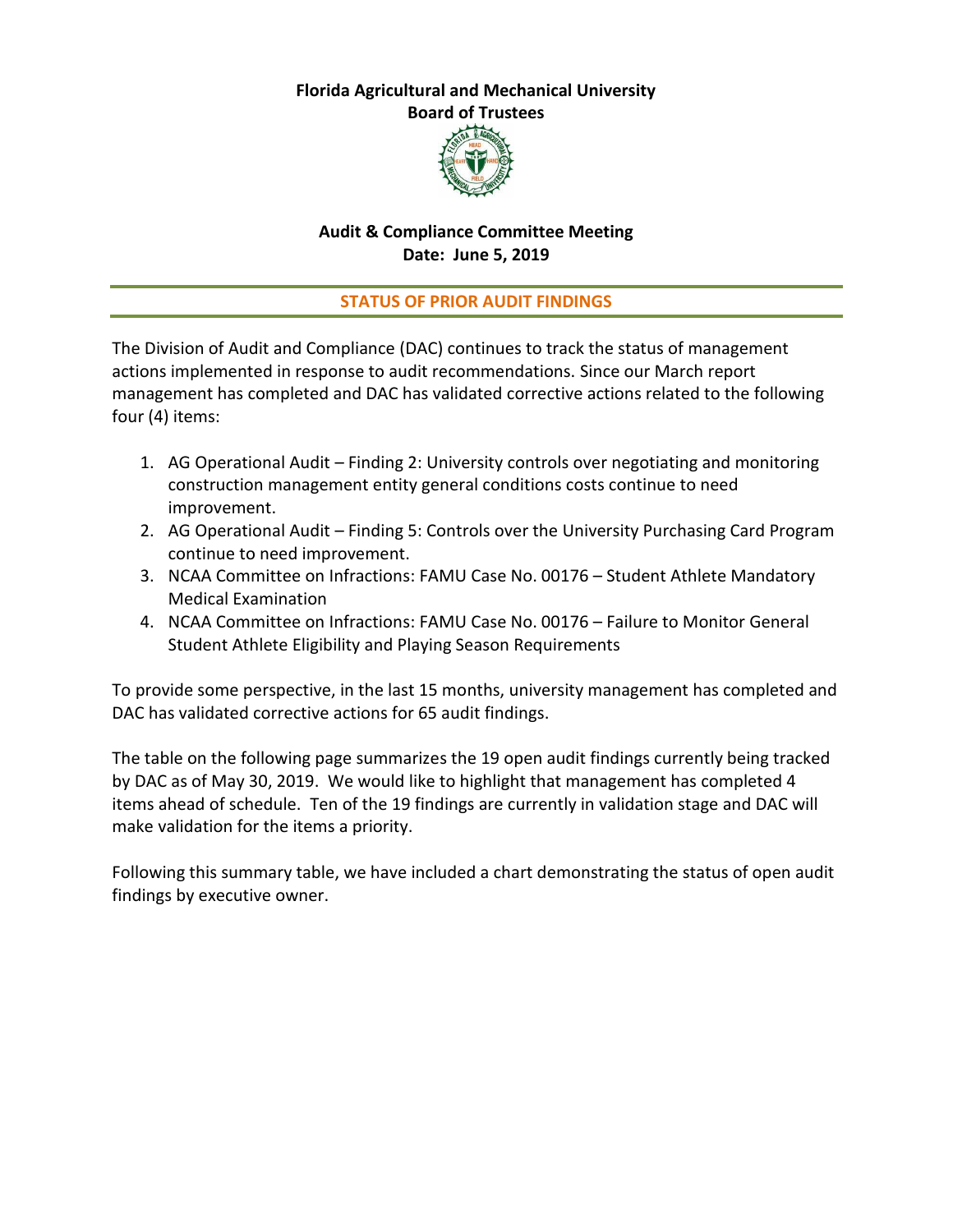# **Florida Agricultural and Mechanical University**

**Board of Trustees**



### **Audit & Compliance Committee Meeting Date: June 5, 2019**

### **STATUS OF PRIOR AUDIT FINDINGS**

The Division of Audit and Compliance (DAC) continues to track the status of management actions implemented in response to audit recommendations. Since our March report management has completed and DAC has validated corrective actions related to the following four (4) items:

- 1. AG Operational Audit Finding 2: University controls over negotiating and monitoring construction management entity general conditions costs continue to need improvement.
- 2. AG Operational Audit Finding 5: Controls over the University Purchasing Card Program continue to need improvement.
- 3. NCAA Committee on Infractions: FAMU Case No. 00176 Student Athlete Mandatory Medical Examination
- 4. NCAA Committee on Infractions: FAMU Case No. 00176 Failure to Monitor General Student Athlete Eligibility and Playing Season Requirements

To provide some perspective, in the last 15 months, university management has completed and DAC has validated corrective actions for 65 audit findings.

The table on the following page summarizes the 19 open audit findings currently being tracked by DAC as of May 30, 2019. We would like to highlight that management has completed 4 items ahead of schedule. Ten of the 19 findings are currently in validation stage and DAC will make validation for the items a priority.

Following this summary table, we have included a chart demonstrating the status of open audit findings by executive owner.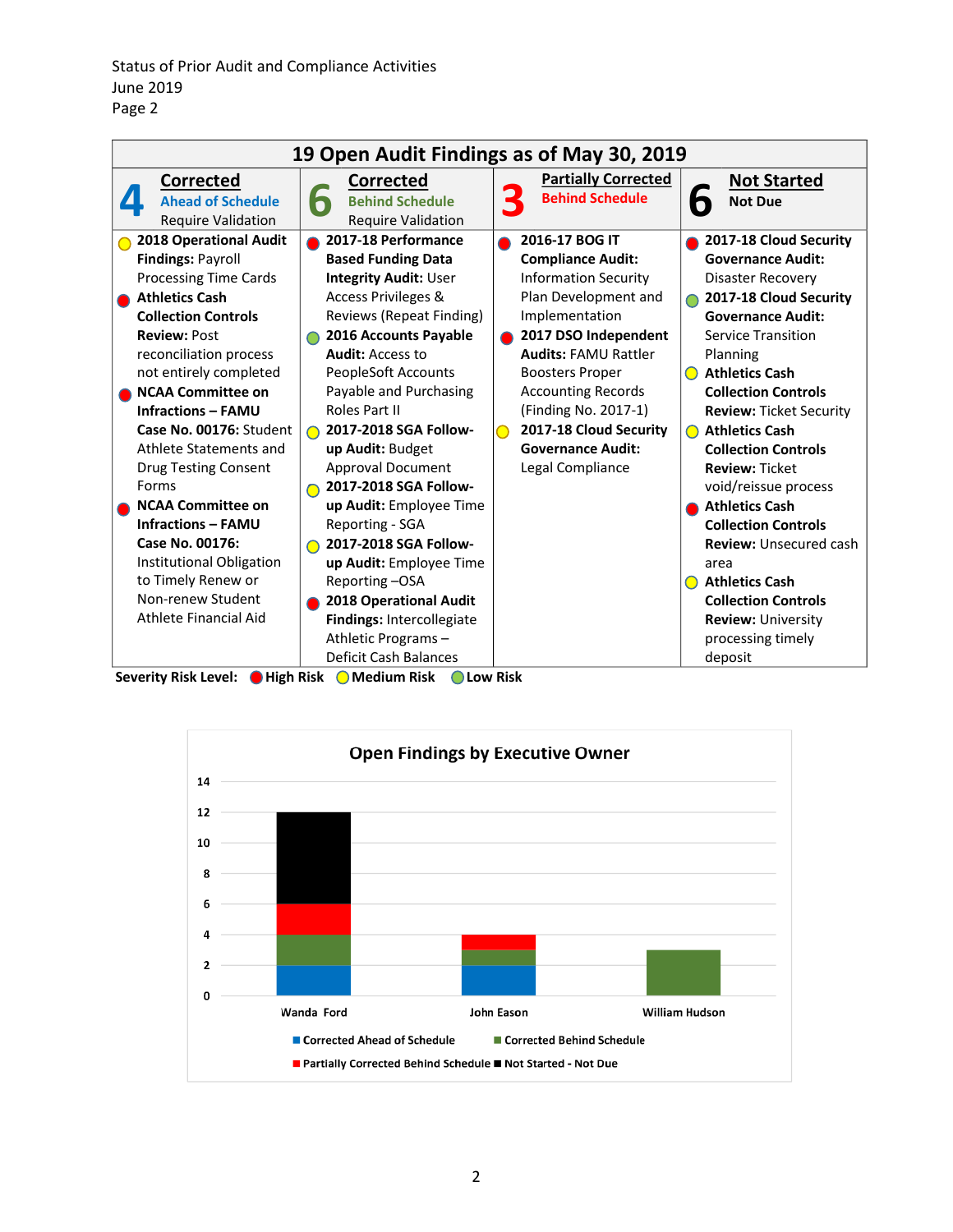| 19 Open Audit Findings as of May 30, 2019                                                                                                                                                                                                                                                                                                                                                                                                                                                                                                              |                                                                                                                                                                                                                                                                                                                                                                                                                                                                                                                                                                                                                      |                                                                                                                                                                                                                                                                                                                                     |                                                                                                                                                                                                                                                                                                                                                                                                                                                                                                                                                                                                                                                   |
|--------------------------------------------------------------------------------------------------------------------------------------------------------------------------------------------------------------------------------------------------------------------------------------------------------------------------------------------------------------------------------------------------------------------------------------------------------------------------------------------------------------------------------------------------------|----------------------------------------------------------------------------------------------------------------------------------------------------------------------------------------------------------------------------------------------------------------------------------------------------------------------------------------------------------------------------------------------------------------------------------------------------------------------------------------------------------------------------------------------------------------------------------------------------------------------|-------------------------------------------------------------------------------------------------------------------------------------------------------------------------------------------------------------------------------------------------------------------------------------------------------------------------------------|---------------------------------------------------------------------------------------------------------------------------------------------------------------------------------------------------------------------------------------------------------------------------------------------------------------------------------------------------------------------------------------------------------------------------------------------------------------------------------------------------------------------------------------------------------------------------------------------------------------------------------------------------|
| <b>Corrected</b><br><b>Ahead of Schedule</b><br><b>Require Validation</b>                                                                                                                                                                                                                                                                                                                                                                                                                                                                              | <b>Corrected</b><br><b>Behind Schedule</b><br>Г<br><b>Require Validation</b>                                                                                                                                                                                                                                                                                                                                                                                                                                                                                                                                         | <b>Partially Corrected</b><br><b>Behind Schedule</b>                                                                                                                                                                                                                                                                                | <b>Not Started</b><br><b>Not Due</b>                                                                                                                                                                                                                                                                                                                                                                                                                                                                                                                                                                                                              |
| 2018 Operational Audit<br><b>Findings: Payroll</b><br><b>Processing Time Cards</b><br><b>Athletics Cash</b><br><b>Collection Controls</b><br><b>Review: Post</b><br>reconciliation process<br>not entirely completed<br><b>NCAA Committee on</b><br><b>Infractions - FAMU</b><br>Case No. 00176: Student<br>Athlete Statements and<br><b>Drug Testing Consent</b><br>Forms<br><b>NCAA Committee on</b><br><b>Infractions - FAMU</b><br>Case No. 00176:<br>Institutional Obligation<br>to Timely Renew or<br>Non-renew Student<br>Athlete Financial Aid | 2017-18 Performance<br><b>Based Funding Data</b><br><b>Integrity Audit: User</b><br><b>Access Privileges &amp;</b><br>Reviews (Repeat Finding)<br>2016 Accounts Payable<br><b>Audit: Access to</b><br><b>PeopleSoft Accounts</b><br>Payable and Purchasing<br>Roles Part II<br>2017-2018 SGA Follow-<br>up Audit: Budget<br><b>Approval Document</b><br>2017-2018 SGA Follow-<br>up Audit: Employee Time<br>Reporting - SGA<br>2017-2018 SGA Follow-<br>up Audit: Employee Time<br>Reporting-OSA<br><b>2018 Operational Audit</b><br>Findings: Intercollegiate<br>Athletic Programs-<br><b>Deficit Cash Balances</b> | 2016-17 BOG IT<br><b>Compliance Audit:</b><br><b>Information Security</b><br>Plan Development and<br>Implementation<br>2017 DSO Independent<br><b>Audits: FAMU Rattler</b><br><b>Boosters Proper</b><br><b>Accounting Records</b><br>(Finding No. 2017-1)<br>2017-18 Cloud Security<br><b>Governance Audit:</b><br>Legal Compliance | 2017-18 Cloud Security<br><b>Governance Audit:</b><br>Disaster Recovery<br>2017-18 Cloud Security<br><b>Governance Audit:</b><br><b>Service Transition</b><br>Planning<br><b>Athletics Cash</b><br>$\left( \quad \right)$<br><b>Collection Controls</b><br><b>Review: Ticket Security</b><br><b>Athletics Cash</b><br>$\bigcirc$<br><b>Collection Controls</b><br><b>Review: Ticket</b><br>void/reissue process<br><b>Athletics Cash</b><br><b>Collection Controls</b><br><b>Review:</b> Unsecured cash<br>area<br><b>Athletics Cash</b><br>$\bigcirc$<br><b>Collection Controls</b><br><b>Review: University</b><br>processing timely<br>deposit |

Severity Risk Level:  $\bigcirc$  High Risk  $\bigcirc$  Medium Risk  $\bigcirc$  Low Risk

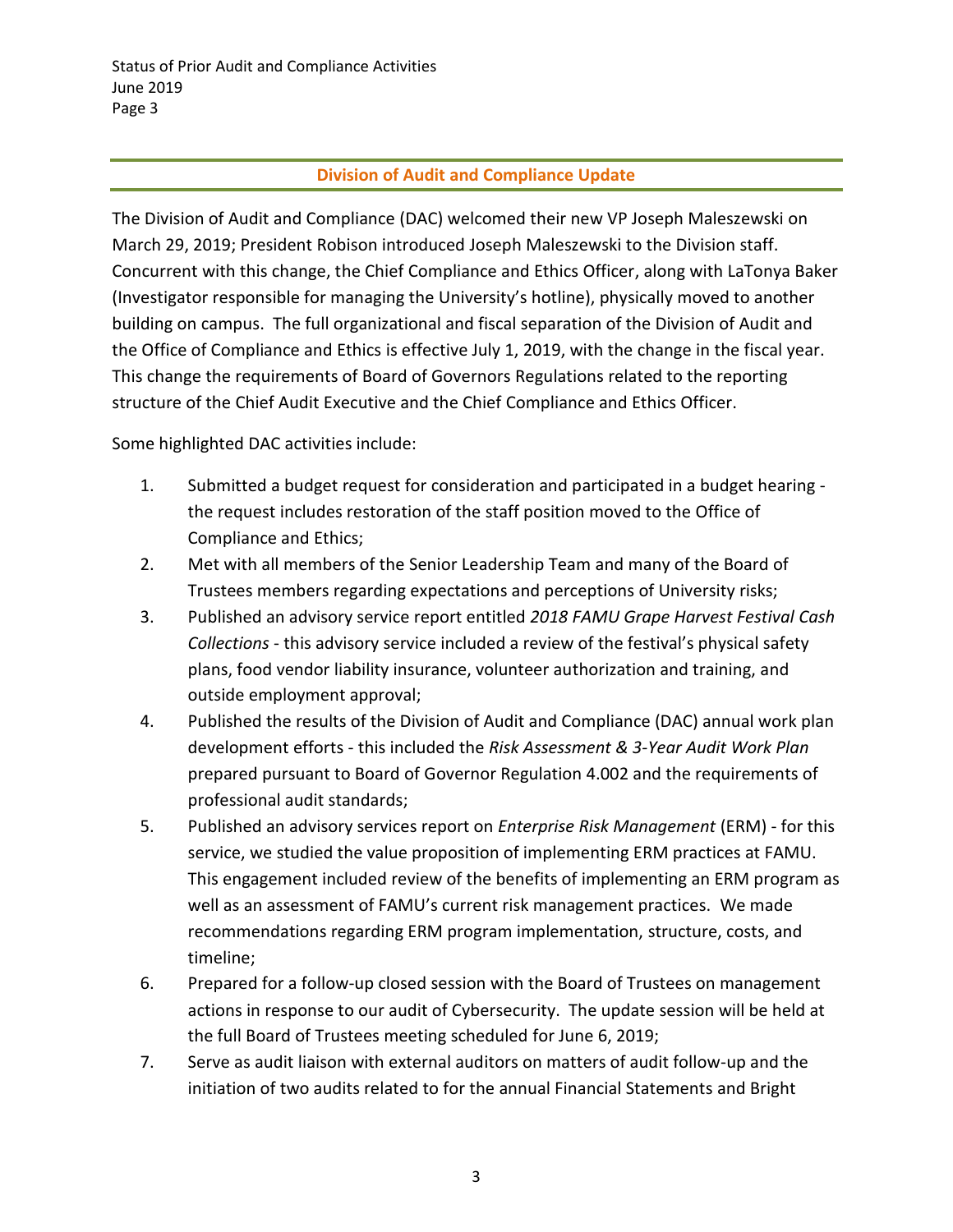## **Division of Audit and Compliance Update**

The Division of Audit and Compliance (DAC) welcomed their new VP Joseph Maleszewski on March 29, 2019; President Robison introduced Joseph Maleszewski to the Division staff. Concurrent with this change, the Chief Compliance and Ethics Officer, along with LaTonya Baker (Investigator responsible for managing the University's hotline), physically moved to another building on campus. The full organizational and fiscal separation of the Division of Audit and the Office of Compliance and Ethics is effective July 1, 2019, with the change in the fiscal year. This change the requirements of Board of Governors Regulations related to the reporting structure of the Chief Audit Executive and the Chief Compliance and Ethics Officer.

Some highlighted DAC activities include:

- 1. Submitted a budget request for consideration and participated in a budget hearing the request includes restoration of the staff position moved to the Office of Compliance and Ethics;
- 2. Met with all members of the Senior Leadership Team and many of the Board of Trustees members regarding expectations and perceptions of University risks;
- 3. Published an advisory service report entitled *2018 FAMU Grape Harvest Festival Cash Collections* - this advisory service included a review of the festival's physical safety plans, food vendor liability insurance, volunteer authorization and training, and outside employment approval;
- 4. Published the results of the Division of Audit and Compliance (DAC) annual work plan development efforts - this included the *Risk Assessment & 3-Year Audit Work Plan* prepared pursuant to Board of Governor Regulation 4.002 and the requirements of professional audit standards;
- 5. Published an advisory services report on *Enterprise Risk Management* (ERM) for this service, we studied the value proposition of implementing ERM practices at FAMU. This engagement included review of the benefits of implementing an ERM program as well as an assessment of FAMU's current risk management practices. We made recommendations regarding ERM program implementation, structure, costs, and timeline;
- 6. Prepared for a follow-up closed session with the Board of Trustees on management actions in response to our audit of Cybersecurity. The update session will be held at the full Board of Trustees meeting scheduled for June 6, 2019;
- 7. Serve as audit liaison with external auditors on matters of audit follow-up and the initiation of two audits related to for the annual Financial Statements and Bright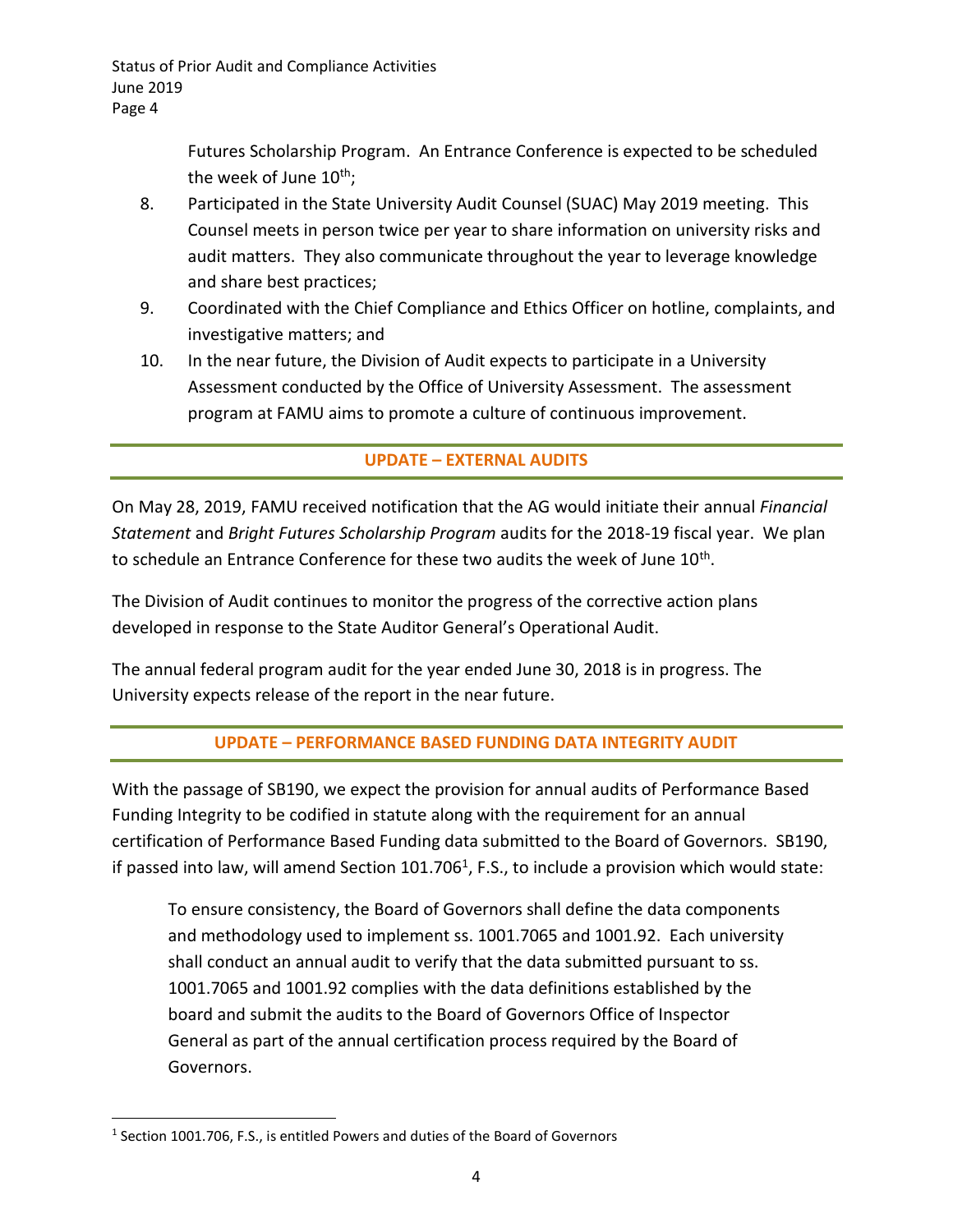> Futures Scholarship Program. An Entrance Conference is expected to be scheduled the week of June  $10^{th}$ ;

- 8. Participated in the State University Audit Counsel (SUAC) May 2019 meeting. This Counsel meets in person twice per year to share information on university risks and audit matters. They also communicate throughout the year to leverage knowledge and share best practices;
- 9. Coordinated with the Chief Compliance and Ethics Officer on hotline, complaints, and investigative matters; and
- 10. In the near future, the Division of Audit expects to participate in a University Assessment conducted by the Office of University Assessment. The assessment program at FAMU aims to promote a culture of continuous improvement.

# **UPDATE – EXTERNAL AUDITS**

On May 28, 2019, FAMU received notification that the AG would initiate their annual *Financial Statement* and *Bright Futures Scholarship Program* audits for the 2018-19 fiscal year. We plan to schedule an Entrance Conference for these two audits the week of June 10<sup>th</sup>.

The Division of Audit continues to monitor the progress of the corrective action plans developed in response to the State Auditor General's Operational Audit.

The annual federal program audit for the year ended June 30, 2018 is in progress. The University expects release of the report in the near future.

## **UPDATE – PERFORMANCE BASED FUNDING DATA INTEGRITY AUDIT**

With the passage of SB190, we expect the provision for annual audits of Performance Based Funding Integrity to be codified in statute along with the requirement for an annual certification of Performance Based Funding data submitted to the Board of Governors. SB190, if passed into law, will amend Section 101.706<sup>1</sup>, F.S., to include a provision which would state:

To ensure consistency, the Board of Governors shall define the data components and methodology used to implement ss. 1001.7065 and 1001.92. Each university shall conduct an annual audit to verify that the data submitted pursuant to ss. 1001.7065 and 1001.92 complies with the data definitions established by the board and submit the audits to the Board of Governors Office of Inspector General as part of the annual certification process required by the Board of Governors.

 $\overline{\phantom{a}}$ 

<sup>&</sup>lt;sup>1</sup> Section 1001.706, F.S., is entitled Powers and duties of the Board of Governors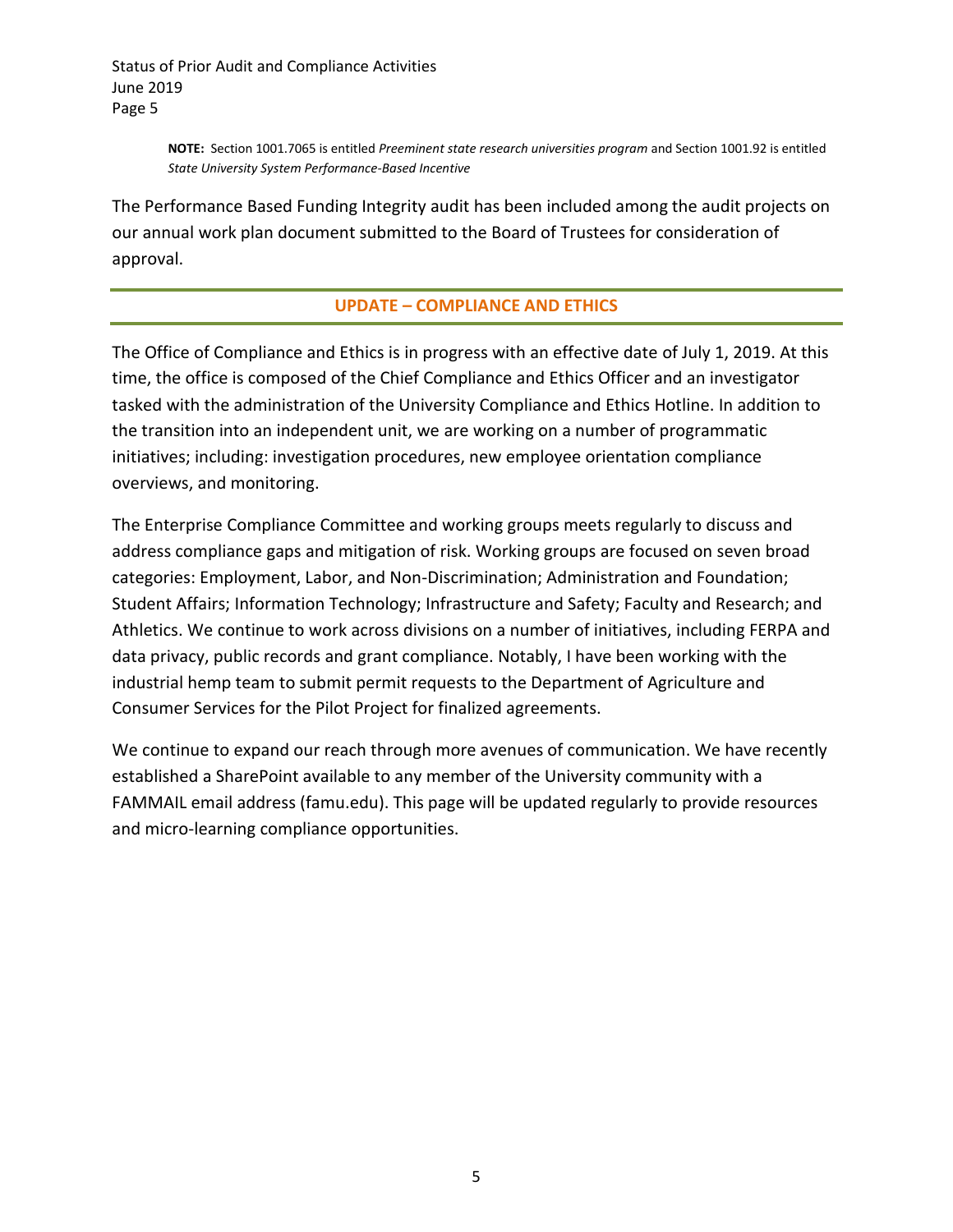> **NOTE:** Section 1001.7065 is entitled *Preeminent state research universities program* and Section 1001.92 is entitled *State University System Performance-Based Incentive*

The Performance Based Funding Integrity audit has been included among the audit projects on our annual work plan document submitted to the Board of Trustees for consideration of approval.

#### **UPDATE – COMPLIANCE AND ETHICS**

The Office of Compliance and Ethics is in progress with an effective date of July 1, 2019. At this time, the office is composed of the Chief Compliance and Ethics Officer and an investigator tasked with the administration of the University Compliance and Ethics Hotline. In addition to the transition into an independent unit, we are working on a number of programmatic initiatives; including: investigation procedures, new employee orientation compliance overviews, and monitoring.

The Enterprise Compliance Committee and working groups meets regularly to discuss and address compliance gaps and mitigation of risk. Working groups are focused on seven broad categories: Employment, Labor, and Non-Discrimination; Administration and Foundation; Student Affairs; Information Technology; Infrastructure and Safety; Faculty and Research; and Athletics. We continue to work across divisions on a number of initiatives, including FERPA and data privacy, public records and grant compliance. Notably, I have been working with the industrial hemp team to submit permit requests to the Department of Agriculture and Consumer Services for the Pilot Project for finalized agreements.

We continue to expand our reach through more avenues of communication. We have recently established a SharePoint available to any member of the University community with a FAMMAIL email address (famu.edu). This page will be updated regularly to provide resources and micro-learning compliance opportunities.